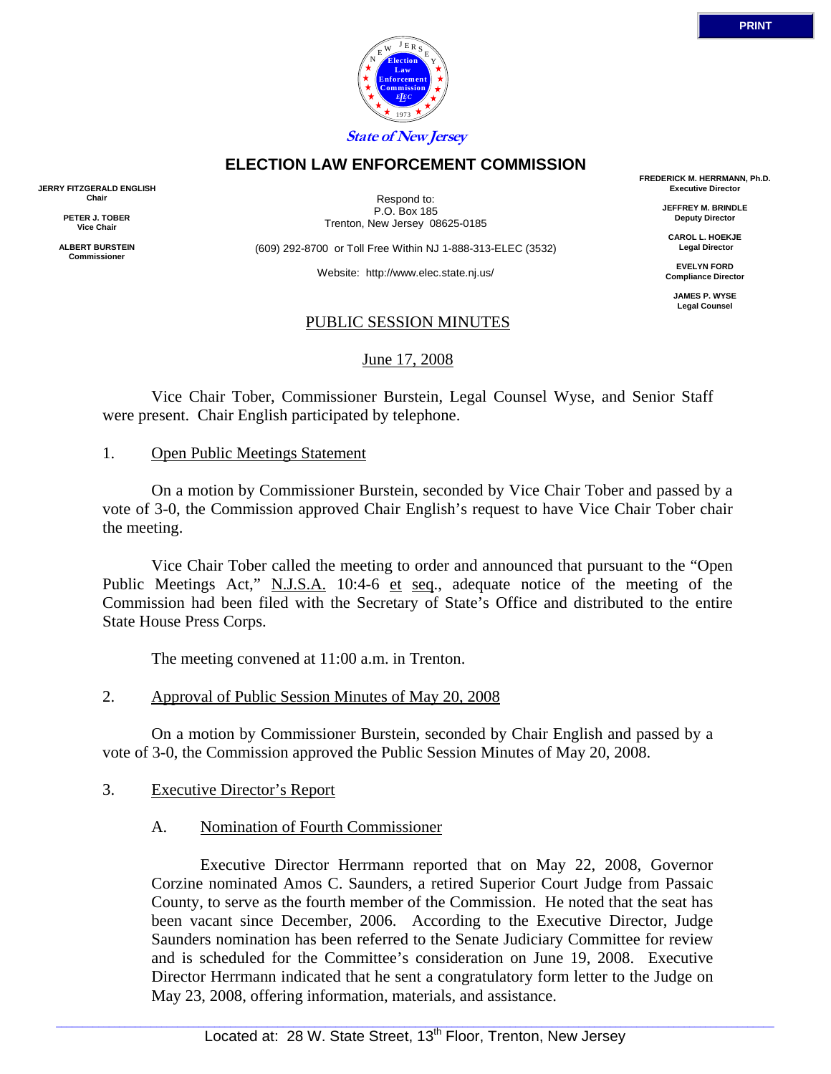

# **ELECTION LAW ENFORCEMENT COMMISSION**

**JERRY FITZGERALD ENGLISH Chair** 

> **PETER J. TOBER Vice Chair**

**ALBERT BURSTEIN Commissioner** 

Respond to: P.O. Box 185 Trenton, New Jersey 08625-0185

(609) 292-8700 or Toll Free Within NJ 1-888-313-ELEC (3532)

Website: http://www.elec.state.nj.us/

# PUBLIC SESSION MINUTES

June 17, 2008

 Vice Chair Tober, Commissioner Burstein, Legal Counsel Wyse, and Senior Staff were present. Chair English participated by telephone.

### 1. Open Public Meetings Statement

 On a motion by Commissioner Burstein, seconded by Vice Chair Tober and passed by a vote of 3-0, the Commission approved Chair English's request to have Vice Chair Tober chair the meeting.

 Vice Chair Tober called the meeting to order and announced that pursuant to the "Open Public Meetings Act," N.J.S.A. 10:4-6 et seq., adequate notice of the meeting of the Commission had been filed with the Secretary of State's Office and distributed to the entire State House Press Corps.

The meeting convened at 11:00 a.m. in Trenton.

# 2. Approval of Public Session Minutes of May 20, 2008

 On a motion by Commissioner Burstein, seconded by Chair English and passed by a vote of 3-0, the Commission approved the Public Session Minutes of May 20, 2008.

#### 3. Executive Director's Report

# A. Nomination of Fourth Commissioner

 Executive Director Herrmann reported that on May 22, 2008, Governor Corzine nominated Amos C. Saunders, a retired Superior Court Judge from Passaic County, to serve as the fourth member of the Commission. He noted that the seat has been vacant since December, 2006. According to the Executive Director, Judge Saunders nomination has been referred to the Senate Judiciary Committee for review and is scheduled for the Committee's consideration on June 19, 2008. Executive Director Herrmann indicated that he sent a congratulatory form letter to the Judge on May 23, 2008, offering information, materials, and assistance.

**FREDERICK M. HERRMANN, Ph.D. Executive Director JEFFREY M. BRINDLE Deputy Director CAROL L. HOEKJE Legal Director EVELYN FORD Compliance Director JAMES P. WYSE Legal Counsel**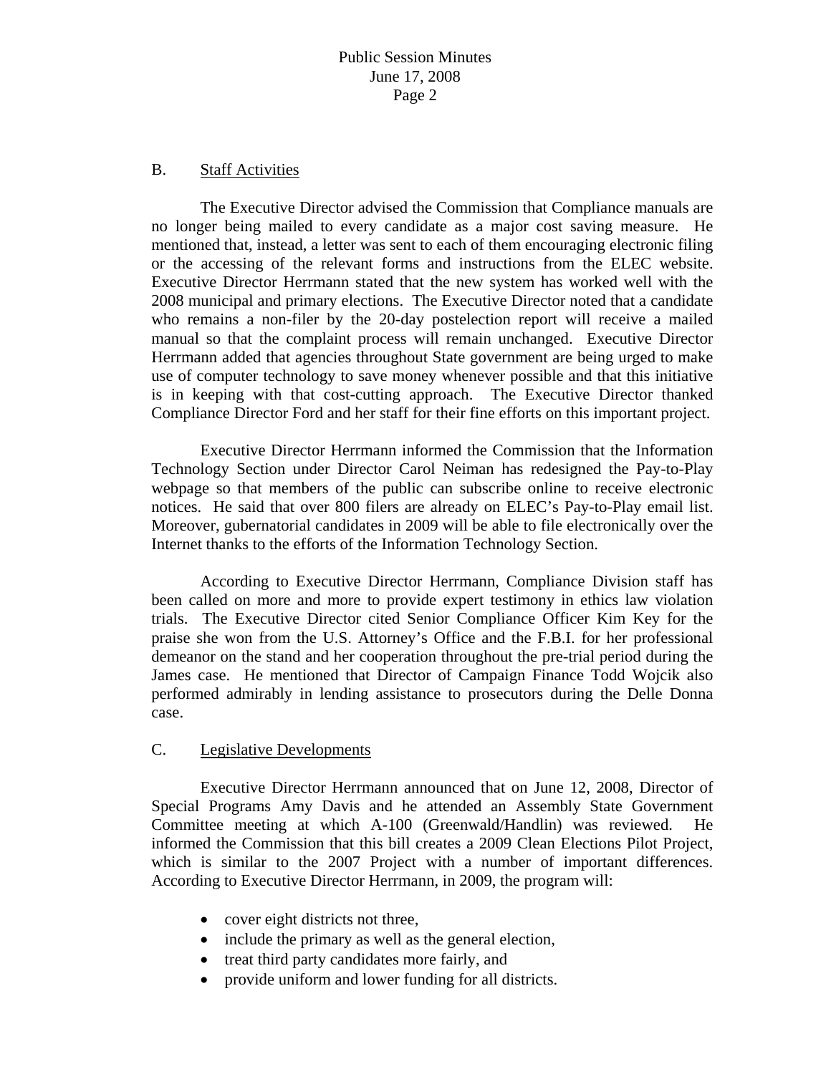### B. Staff Activities

 The Executive Director advised the Commission that Compliance manuals are no longer being mailed to every candidate as a major cost saving measure. He mentioned that, instead, a letter was sent to each of them encouraging electronic filing or the accessing of the relevant forms and instructions from the ELEC website. Executive Director Herrmann stated that the new system has worked well with the 2008 municipal and primary elections. The Executive Director noted that a candidate who remains a non-filer by the 20-day postelection report will receive a mailed manual so that the complaint process will remain unchanged. Executive Director Herrmann added that agencies throughout State government are being urged to make use of computer technology to save money whenever possible and that this initiative is in keeping with that cost-cutting approach. The Executive Director thanked Compliance Director Ford and her staff for their fine efforts on this important project.

 Executive Director Herrmann informed the Commission that the Information Technology Section under Director Carol Neiman has redesigned the Pay-to-Play webpage so that members of the public can subscribe online to receive electronic notices. He said that over 800 filers are already on ELEC's Pay-to-Play email list. Moreover, gubernatorial candidates in 2009 will be able to file electronically over the Internet thanks to the efforts of the Information Technology Section.

 According to Executive Director Herrmann, Compliance Division staff has been called on more and more to provide expert testimony in ethics law violation trials. The Executive Director cited Senior Compliance Officer Kim Key for the praise she won from the U.S. Attorney's Office and the F.B.I. for her professional demeanor on the stand and her cooperation throughout the pre-trial period during the James case. He mentioned that Director of Campaign Finance Todd Wojcik also performed admirably in lending assistance to prosecutors during the Delle Donna case.

#### C. Legislative Developments

 Executive Director Herrmann announced that on June 12, 2008, Director of Special Programs Amy Davis and he attended an Assembly State Government Committee meeting at which A-100 (Greenwald/Handlin) was reviewed. He informed the Commission that this bill creates a 2009 Clean Elections Pilot Project, which is similar to the 2007 Project with a number of important differences. According to Executive Director Herrmann, in 2009, the program will:

- cover eight districts not three,
- include the primary as well as the general election,
- treat third party candidates more fairly, and
- provide uniform and lower funding for all districts.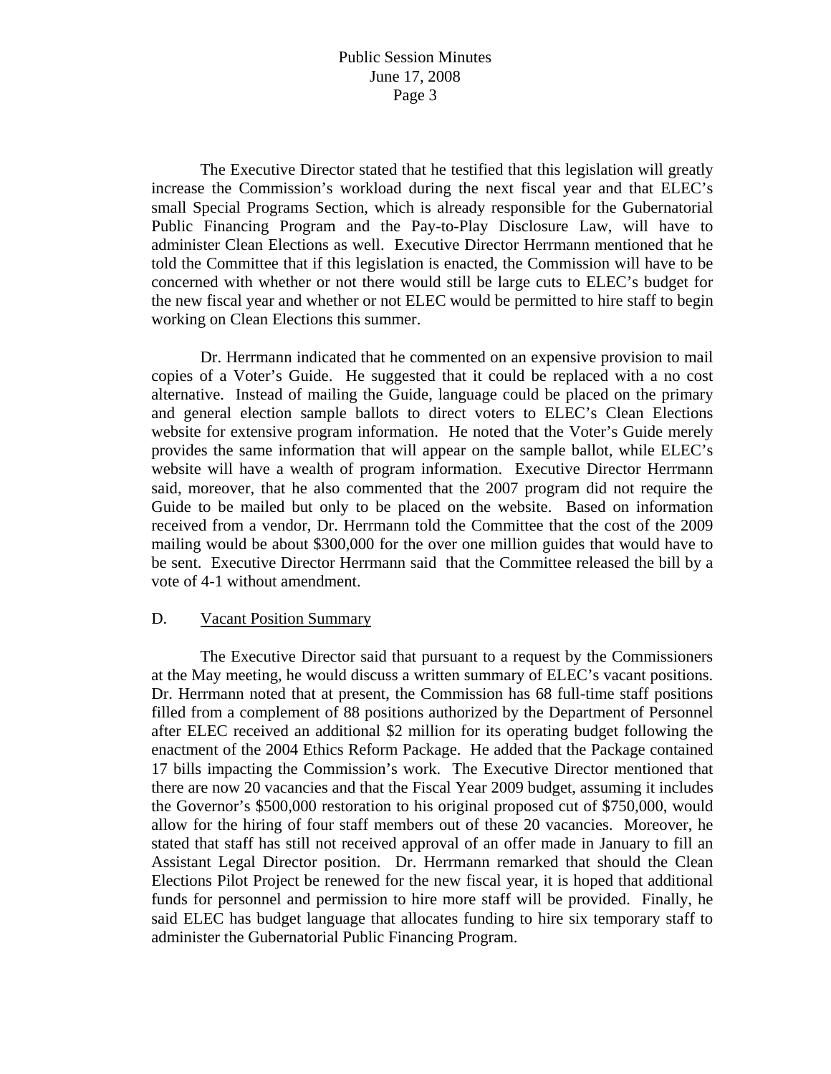The Executive Director stated that he testified that this legislation will greatly increase the Commission's workload during the next fiscal year and that ELEC's small Special Programs Section, which is already responsible for the Gubernatorial Public Financing Program and the Pay-to-Play Disclosure Law, will have to administer Clean Elections as well. Executive Director Herrmann mentioned that he told the Committee that if this legislation is enacted, the Commission will have to be concerned with whether or not there would still be large cuts to ELEC's budget for the new fiscal year and whether or not ELEC would be permitted to hire staff to begin working on Clean Elections this summer.

 Dr. Herrmann indicated that he commented on an expensive provision to mail copies of a Voter's Guide. He suggested that it could be replaced with a no cost alternative. Instead of mailing the Guide, language could be placed on the primary and general election sample ballots to direct voters to ELEC's Clean Elections website for extensive program information. He noted that the Voter's Guide merely provides the same information that will appear on the sample ballot, while ELEC's website will have a wealth of program information. Executive Director Herrmann said, moreover, that he also commented that the 2007 program did not require the Guide to be mailed but only to be placed on the website. Based on information received from a vendor, Dr. Herrmann told the Committee that the cost of the 2009 mailing would be about \$300,000 for the over one million guides that would have to be sent. Executive Director Herrmann said that the Committee released the bill by a vote of 4-1 without amendment.

#### D. Vacant Position Summary

 The Executive Director said that pursuant to a request by the Commissioners at the May meeting, he would discuss a written summary of ELEC's vacant positions. Dr. Herrmann noted that at present, the Commission has 68 full-time staff positions filled from a complement of 88 positions authorized by the Department of Personnel after ELEC received an additional \$2 million for its operating budget following the enactment of the 2004 Ethics Reform Package. He added that the Package contained 17 bills impacting the Commission's work. The Executive Director mentioned that there are now 20 vacancies and that the Fiscal Year 2009 budget, assuming it includes the Governor's \$500,000 restoration to his original proposed cut of \$750,000, would allow for the hiring of four staff members out of these 20 vacancies. Moreover, he stated that staff has still not received approval of an offer made in January to fill an Assistant Legal Director position. Dr. Herrmann remarked that should the Clean Elections Pilot Project be renewed for the new fiscal year, it is hoped that additional funds for personnel and permission to hire more staff will be provided. Finally, he said ELEC has budget language that allocates funding to hire six temporary staff to administer the Gubernatorial Public Financing Program.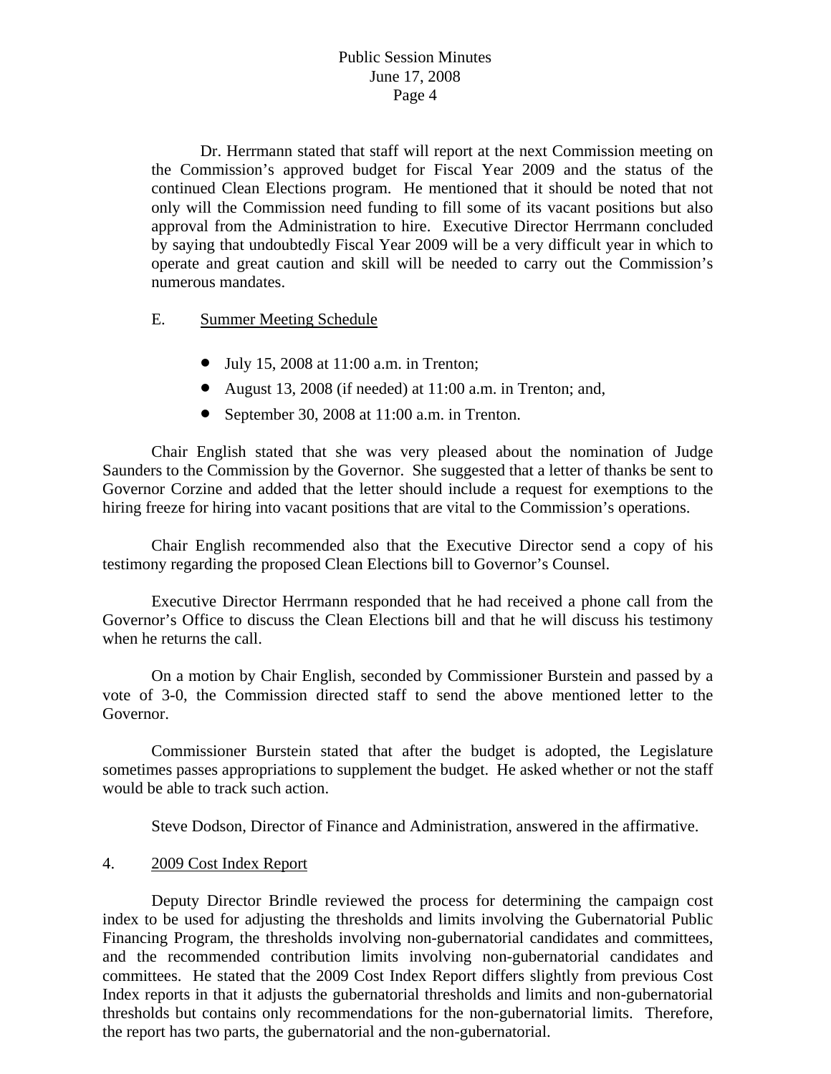# Public Session Minutes June 17, 2008 Page 4

 Dr. Herrmann stated that staff will report at the next Commission meeting on the Commission's approved budget for Fiscal Year 2009 and the status of the continued Clean Elections program. He mentioned that it should be noted that not only will the Commission need funding to fill some of its vacant positions but also approval from the Administration to hire. Executive Director Herrmann concluded by saying that undoubtedly Fiscal Year 2009 will be a very difficult year in which to operate and great caution and skill will be needed to carry out the Commission's numerous mandates.

### E. Summer Meeting Schedule

- July 15, 2008 at 11:00 a.m. in Trenton;
- August 13, 2008 (if needed) at 11:00 a.m. in Trenton; and,
- September 30, 2008 at 11:00 a.m. in Trenton.

 Chair English stated that she was very pleased about the nomination of Judge Saunders to the Commission by the Governor. She suggested that a letter of thanks be sent to Governor Corzine and added that the letter should include a request for exemptions to the hiring freeze for hiring into vacant positions that are vital to the Commission's operations.

 Chair English recommended also that the Executive Director send a copy of his testimony regarding the proposed Clean Elections bill to Governor's Counsel.

 Executive Director Herrmann responded that he had received a phone call from the Governor's Office to discuss the Clean Elections bill and that he will discuss his testimony when he returns the call.

 On a motion by Chair English, seconded by Commissioner Burstein and passed by a vote of 3-0, the Commission directed staff to send the above mentioned letter to the Governor.

 Commissioner Burstein stated that after the budget is adopted, the Legislature sometimes passes appropriations to supplement the budget. He asked whether or not the staff would be able to track such action.

Steve Dodson, Director of Finance and Administration, answered in the affirmative.

#### 4. 2009 Cost Index Report

 Deputy Director Brindle reviewed the process for determining the campaign cost index to be used for adjusting the thresholds and limits involving the Gubernatorial Public Financing Program, the thresholds involving non-gubernatorial candidates and committees, and the recommended contribution limits involving non-gubernatorial candidates and committees. He stated that the 2009 Cost Index Report differs slightly from previous Cost Index reports in that it adjusts the gubernatorial thresholds and limits and non-gubernatorial thresholds but contains only recommendations for the non-gubernatorial limits. Therefore, the report has two parts, the gubernatorial and the non-gubernatorial.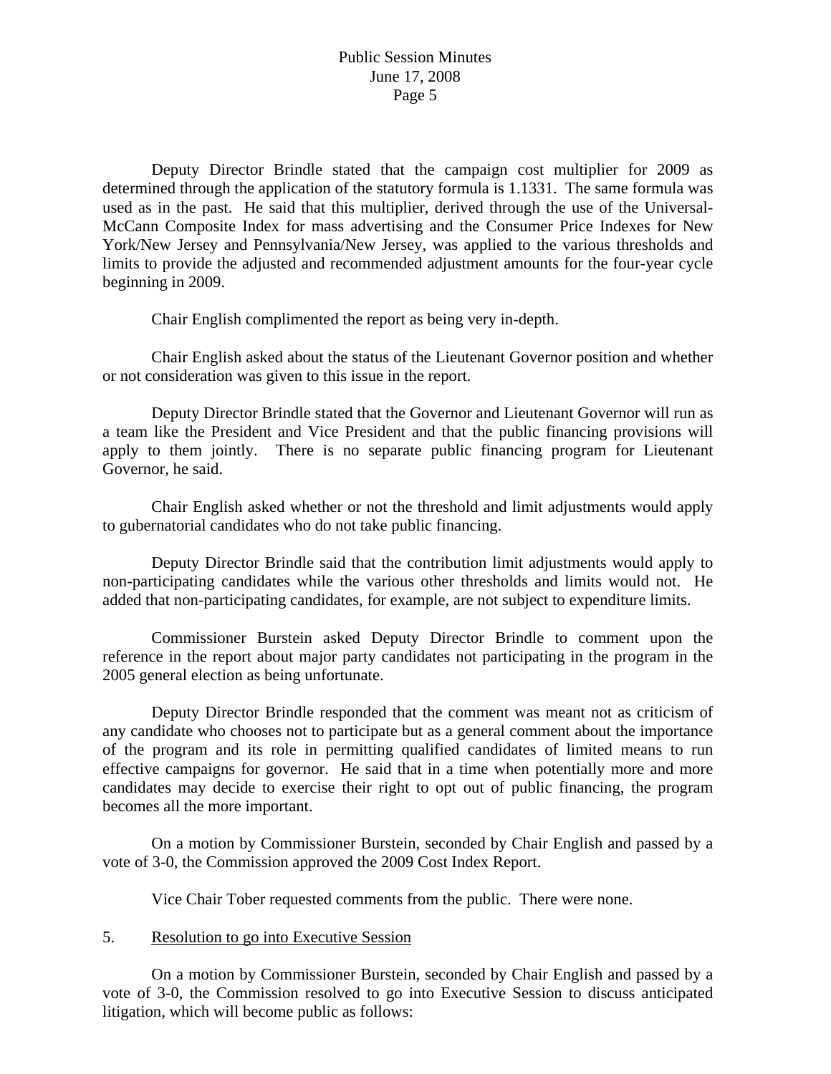# Public Session Minutes June 17, 2008 Page 5

 Deputy Director Brindle stated that the campaign cost multiplier for 2009 as determined through the application of the statutory formula is 1.1331. The same formula was used as in the past. He said that this multiplier, derived through the use of the Universal-McCann Composite Index for mass advertising and the Consumer Price Indexes for New York/New Jersey and Pennsylvania/New Jersey, was applied to the various thresholds and limits to provide the adjusted and recommended adjustment amounts for the four-year cycle beginning in 2009.

Chair English complimented the report as being very in-depth.

 Chair English asked about the status of the Lieutenant Governor position and whether or not consideration was given to this issue in the report.

 Deputy Director Brindle stated that the Governor and Lieutenant Governor will run as a team like the President and Vice President and that the public financing provisions will apply to them jointly. There is no separate public financing program for Lieutenant Governor, he said.

 Chair English asked whether or not the threshold and limit adjustments would apply to gubernatorial candidates who do not take public financing.

 Deputy Director Brindle said that the contribution limit adjustments would apply to non-participating candidates while the various other thresholds and limits would not. He added that non-participating candidates, for example, are not subject to expenditure limits.

 Commissioner Burstein asked Deputy Director Brindle to comment upon the reference in the report about major party candidates not participating in the program in the 2005 general election as being unfortunate.

 Deputy Director Brindle responded that the comment was meant not as criticism of any candidate who chooses not to participate but as a general comment about the importance of the program and its role in permitting qualified candidates of limited means to run effective campaigns for governor. He said that in a time when potentially more and more candidates may decide to exercise their right to opt out of public financing, the program becomes all the more important.

 On a motion by Commissioner Burstein, seconded by Chair English and passed by a vote of 3-0, the Commission approved the 2009 Cost Index Report.

Vice Chair Tober requested comments from the public. There were none.

#### 5. Resolution to go into Executive Session

 On a motion by Commissioner Burstein, seconded by Chair English and passed by a vote of 3-0, the Commission resolved to go into Executive Session to discuss anticipated litigation, which will become public as follows: